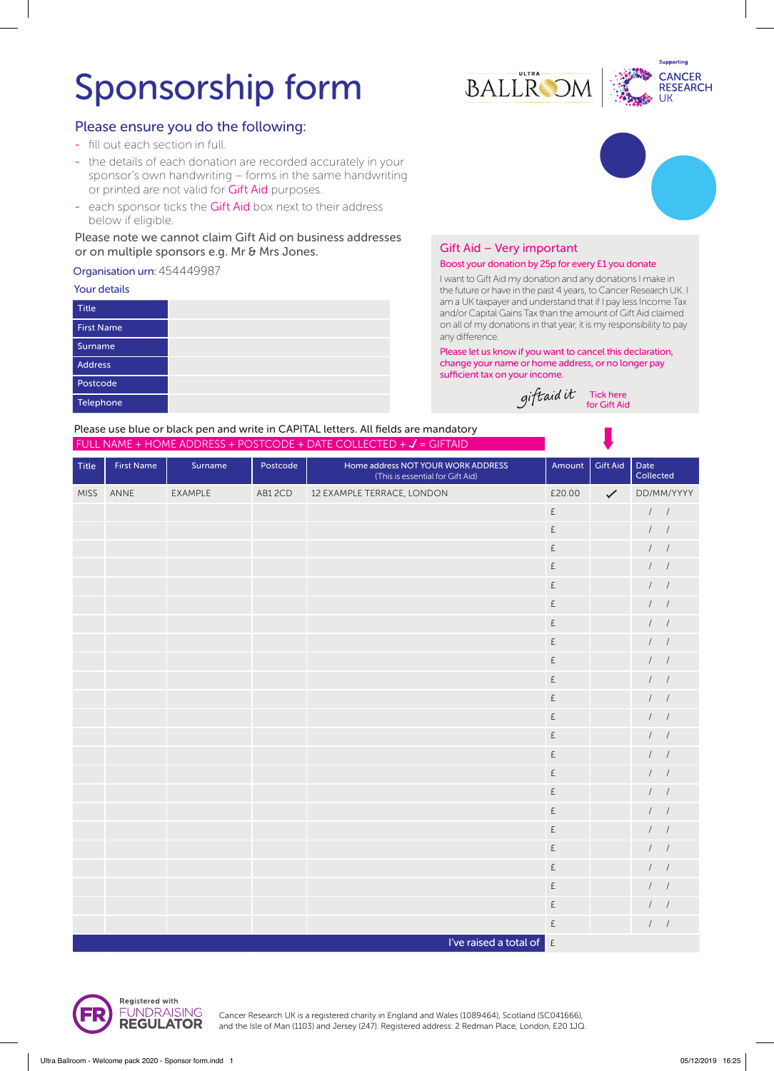# Sponsorship form

## Please ensure you do the following:

- fill out each section in full.
- the details of each donation are recorded accurately in your sponsor's own handwriting – forms in the same handwriting or printed are not valid for Gift Aid purposes.
- each sponsor ticks the Gift Aid box next to their address below if eligible.

## Please note we cannot claim Gift Aid on business addresses or on multiple sponsors e.g. Mr & Mrs Jones.

## Organisation urn: 454449987

#### Your details

| <b>Title</b>      |  |
|-------------------|--|
| <b>First Name</b> |  |
| Surname           |  |
| <b>Address</b>    |  |
| Postcode          |  |
| Telephone         |  |





## Gift Aid – Very important

### Boost your donation by 25p for every £1 you donate

I want to Gift Aid my donation and any donations I make in the future or have in the past 4 years, to Cancer Research UK. I am a UK taxpayer and understand that if I pay less Income Tax and/or Capital Gains Tax than the amount of Gift Aid claimed on all of my donations in that year, it is my responsibility to pay any difference.

Please let us know if you want to cancel this declaration, change your name or home address, or no longer pay sufficient tax on your income.

Tick here for Gift Aid

Please use blue or black pen and write in CAPITAL letters. All fields are mandatory FULL NAME + HOME ADDRESS + POSTCODE + DATE COLLECTED +  $J$  = GIFTAID

| <b>Title</b> | <b>First Name</b> | Surname | Postcode | Home address NOT YOUR WORK ADDRESS<br>(This is essential for Gift Aid) | Amount                                               | <b>Gift Aid</b> | Date<br>Collected      |
|--------------|-------------------|---------|----------|------------------------------------------------------------------------|------------------------------------------------------|-----------------|------------------------|
| <b>MISS</b>  | ANNE              | EXAMPLE | AB12CD   | 12 EXAMPLE TERRACE, LONDON                                             | £20.00                                               | $\checkmark$    | DD/MM/YYYY             |
|              |                   |         |          |                                                                        | $\boldsymbol{\mathsf{E}}$                            |                 | $\prime$ /             |
|              |                   |         |          |                                                                        | £                                                    |                 | 1                      |
|              |                   |         |          |                                                                        | £                                                    |                 | $\left  \right $       |
|              |                   |         |          |                                                                        | £                                                    |                 | $\left  \right $       |
|              |                   |         |          |                                                                        | £                                                    |                 | $\left  \right $       |
|              |                   |         |          |                                                                        | £                                                    |                 | $\frac{1}{2}$          |
|              |                   |         |          |                                                                        | £                                                    |                 | 1 <sup>1</sup>         |
|              |                   |         |          |                                                                        | £                                                    |                 | $1 \quad 1$            |
|              |                   |         |          |                                                                        | $\mathsf{E}% _{\mathsf{M}}^{\mathsf{A}}(\mathsf{M})$ |                 | $\frac{1}{2}$          |
|              |                   |         |          |                                                                        | £                                                    |                 | $\frac{1}{2}$          |
|              |                   |         |          |                                                                        | £                                                    |                 | $1 \quad 1$            |
|              |                   |         |          |                                                                        | £                                                    |                 | 1                      |
|              |                   |         |          |                                                                        | $\mathsf{E}% _{\mathsf{M}}^{\mathsf{A}}(\mathsf{M})$ |                 | 1                      |
|              |                   |         |          |                                                                        | £                                                    |                 | $\left  \right $       |
|              |                   |         |          |                                                                        | £                                                    |                 | $\left  \quad \right $ |
|              |                   |         |          |                                                                        | $\mathsf{E}% _{\mathsf{M}}^{\mathsf{A}}(\mathsf{M})$ |                 | $1 \quad 1$            |
|              |                   |         |          |                                                                        | £                                                    |                 | 1                      |
|              |                   |         |          |                                                                        | £                                                    |                 | 1                      |
|              |                   |         |          |                                                                        | £                                                    |                 | $\left  \right $       |
|              |                   |         |          |                                                                        | $\mathsf{E}% _{\mathsf{M}}^{\mathsf{A}}(\mathsf{M})$ |                 | $\frac{1}{2}$          |
|              |                   |         |          |                                                                        | $\mathsf{E}% _{\mathsf{M}}^{\mathsf{A}}(\mathsf{M})$ |                 | $\frac{1}{2}$          |
|              |                   |         |          |                                                                        | £                                                    |                 | 1 <sup>1</sup>         |
|              |                   |         |          |                                                                        | £                                                    |                 | 1                      |
|              |                   |         |          | I've raised a total of $\left  \right $ $\epsilon$                     |                                                      |                 |                        |



Cancer Research UK is a registered charity in England and Wales (1089464), Scotland (SC041666), and the Isle of Man (1103) and Jersey (247). Registered address: 2 Redman Place, London, E20 1JQ.